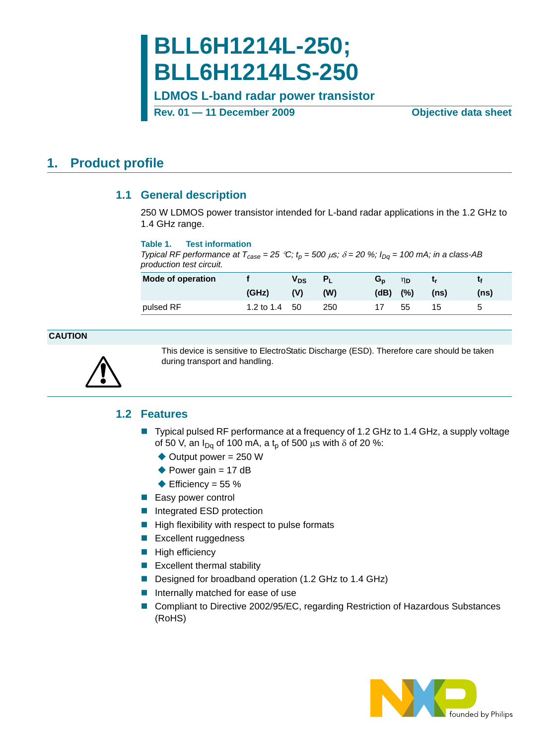# **BLL6H1214L-250; BLL6H1214LS-250**

**LDMOS L-band radar power transistor**

**Rev. 01 — 11 December 2009 Objective data sheet**

### <span id="page-0-1"></span><span id="page-0-0"></span>**1. Product profile**

#### **1.1 General description**

250 W LDMOS power transistor intended for L-band radar applications in the 1.2 GHz to 1.4 GHz range.

#### **Table 1. Test information**

*Typical RF performance at T<sub>case</sub>* = 25 °*C;*  $t<sub>p</sub>$  = 500  $\mu$ s;  $\delta$  = 20 %;  $I<sub>Dq</sub>$  = 100 mA; in a class-AB *production test circuit.*

| Mode of operation |                 | Vps |     | Gn   | ηp  | Lr.  |      |
|-------------------|-----------------|-----|-----|------|-----|------|------|
|                   | (GHz)           | (V) | (W) | (dB) | (%) | (ns) | (ns) |
| pulsed RF         | 1.2 to $1.4$ 50 |     | 250 |      | 55  | 15   | G    |

#### **CAUTION**

<span id="page-0-2"></span>

This device is sensitive to ElectroStatic Discharge (ESD). Therefore care should be taken during transport and handling.

#### **1.2 Features**

- Typical pulsed RF performance at a frequency of 1.2 GHz to 1.4 GHz, a supply voltage of 50 V, an  $I_{Dq}$  of 100 mA, a  $t_p$  of 500  $\mu$ s with  $\delta$  of 20 %:
	- $\rightarrow$  Output power = 250 W
	- $\blacktriangleright$  Power gain = 17 dB
	- $\triangle$  Efficiency = 55 %
- **Easy power control**
- Integrated ESD protection
- $\blacksquare$  High flexibility with respect to pulse formats
- **Excellent ruggedness**
- $\blacksquare$  High efficiency
- **Excellent thermal stability**
- Designed for broadband operation (1.2 GHz to 1.4 GHz)
- Internally matched for ease of use
- Compliant to Directive 2002/95/EC, regarding Restriction of Hazardous Substances (RoHS)

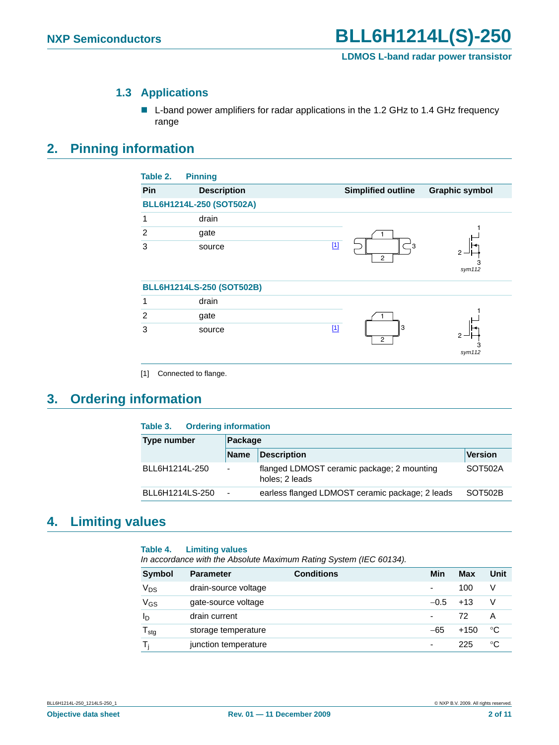#### **1.3 Applications**

■ L-band power amplifiers for radar applications in the 1.2 GHz to 1.4 GHz frequency range

### <span id="page-1-2"></span><span id="page-1-1"></span>**2. Pinning information**

| <b>Pinning</b>            |                                    |                           |
|---------------------------|------------------------------------|---------------------------|
| <b>Description</b>        |                                    | <b>Graphic symbol</b>     |
| BLL6H1214L-250 (SOT502A)  |                                    |                           |
| drain                     |                                    |                           |
| gate                      |                                    |                           |
| source                    | $[1]$<br>౼౩<br>2                   | 2<br>З<br>sym112          |
| BLL6H1214LS-250 (SOT502B) |                                    |                           |
| drain                     |                                    |                           |
| gate                      |                                    |                           |
| source                    | $\boxed{1}$<br>3<br>$\overline{c}$ | sym112                    |
|                           |                                    | <b>Simplified outline</b> |

<span id="page-1-0"></span>[1] Connected to flange.

### <span id="page-1-3"></span>**3. Ordering information**

| <b>Ordering information</b><br>Table 3. |             |                                                              |                |  |
|-----------------------------------------|-------------|--------------------------------------------------------------|----------------|--|
| Type number                             | Package     |                                                              |                |  |
|                                         | <b>Name</b> | <b>Description</b>                                           | <b>Version</b> |  |
| BLL6H1214L-250                          | ۰           | flanged LDMOST ceramic package; 2 mounting<br>holes: 2 leads | SOT502A        |  |
| BLL6H1214LS-250                         | ٠           | earless flanged LDMOST ceramic package; 2 leads              | SOT502B        |  |

### <span id="page-1-4"></span>**4. Limiting values**

#### **Table 4. Limiting values**

*In accordance with the Absolute Maximum Rating System (IEC 60134).*

| Symbol                     | <b>Parameter</b>     | <b>Conditions</b> | Min                      | Max   | Unit |
|----------------------------|----------------------|-------------------|--------------------------|-------|------|
| V <sub>DS</sub>            | drain-source voltage |                   | $\overline{\phantom{a}}$ | 100   | v    |
| V <sub>GS</sub>            | gate-source voltage  |                   | $-0.5$                   | $+13$ | V    |
| ΙD                         | drain current        |                   | $\blacksquare$           | 72    | Α    |
| ${\mathsf T}_{\text{stg}}$ | storage temperature  |                   | $-65$                    | +150  | °C   |
|                            | junction temperature |                   | $\overline{\phantom{a}}$ | 225   | °C   |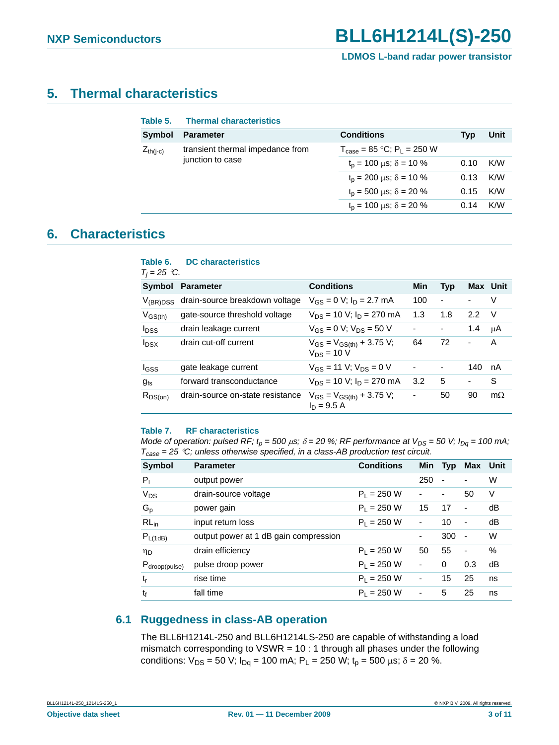### <span id="page-2-0"></span>**5. Thermal characteristics**

| Table 5.         | <b>Thermal characteristics</b>       |                                                            |      |      |
|------------------|--------------------------------------|------------------------------------------------------------|------|------|
| <b>Symbol</b>    | <b>Parameter</b>                     | <b>Conditions</b>                                          | Tvp  | Unit |
| $Z_{th(i-c)}$    | transient thermal impedance from     | $T_{\text{case}} = 85 \text{ °C}$ ; P <sub>1</sub> = 250 W |      |      |
| junction to case | $t_p = 100 \mu s$ ; $\delta = 10 \%$ | 0.10                                                       | K/W  |      |
|                  |                                      | $t_p = 200 \mu s$ ; $\delta = 10 \%$                       | 0.13 | K/W  |
|                  |                                      | $t_p = 500 \mu s$ ; $\delta = 20 \%$                       | 0.15 | K/W  |
|                  |                                      | $t_p = 100 \mu s$ ; $\delta = 20 \%$                       | 0.14 | K/W  |

### <span id="page-2-1"></span>**6. Characteristics**

| Table 6.<br>$T_i = 25$ °C. | <b>DC</b> characteristics        |                                                    |     |                          |                          |           |
|----------------------------|----------------------------------|----------------------------------------------------|-----|--------------------------|--------------------------|-----------|
| Symbol                     | <b>Parameter</b>                 | <b>Conditions</b>                                  | Min | <b>Typ</b>               |                          | Max Unit  |
| $V_{(BR)DSS}$              | drain-source breakdown voltage   | $V_{GS} = 0$ V; $I_D = 2.7$ mA                     | 100 | $\overline{\phantom{a}}$ | $\overline{\phantom{0}}$ | v         |
| $V_{GS(th)}$               | gate-source threshold voltage    | $V_{DS}$ = 10 V; $I_D$ = 270 mA                    | 1.3 | 1.8                      | 2.2                      | - V       |
| <b>I</b> <sub>DSS</sub>    | drain leakage current            | $V_{GS} = 0 V$ ; $V_{DS} = 50 V$                   |     | $\overline{\phantom{a}}$ | 1.4                      | μA        |
| $I_{DSX}$                  | drain cut-off current            | $V_{GS} = V_{GS(th)} + 3.75 V;$<br>$V_{DS} = 10 V$ | 64  | 72                       | -                        | A         |
| lgss                       | gate leakage current             | $V_{GS}$ = 11 V; $V_{DS}$ = 0 V                    | ä,  | -                        | 140                      | nA        |
| $g_{fs}$                   | forward transconductance         | $V_{DS}$ = 10 V; $I_D$ = 270 mA                    | 3.2 | 5                        | $\overline{\phantom{0}}$ | S         |
| $R_{DS(on)}$               | drain-source on-state resistance | $V_{GS} = V_{GS(th)} + 3.75 V;$<br>$ln = 9.5 A$    | -   | 50                       | 90                       | $m\Omega$ |

#### **Table 7. RF characteristics**

*Mode of operation: pulsed RF;*  $t_p = 500 \mu s$ ;  $\delta = 20 \%$ ; RF performance at  $V_{DS} = 50 V$ ;  $I_{Dq} = 100 \text{ mA}$ ; *Tcase = 25* °*C; unless otherwise specified, in a class-AB production test circuit.*

| Symbol                    | <b>Parameter</b>                      | <b>Conditions</b> |     | Min Typ        | Max Unit                 |    |
|---------------------------|---------------------------------------|-------------------|-----|----------------|--------------------------|----|
| $P_{\perp}$               | output power                          |                   | 250 | $\blacksquare$ | $\overline{\phantom{0}}$ | W  |
| $V_{DS}$                  | drain-source voltage                  | $P_1 = 250 W$     | ٠   | ٠              | 50                       | V  |
| $G_p$                     | power gain                            | $P_1 = 250 W$     | 15  | 17             | $\overline{\phantom{a}}$ | dB |
| $RL_{in}$                 | input return loss                     | $P_1 = 250 W$     | -   | 10             | $\overline{\phantom{a}}$ | dB |
| $P_{L(1dB)}$              | output power at 1 dB gain compression |                   | -   | 300            | $\blacksquare$           | W  |
| ηD                        | drain efficiency                      | $P_1 = 250 W$     | 50  | 55             | $\overline{\phantom{a}}$ | %  |
| P <sub>droop(pulse)</sub> | pulse droop power                     | $P_1 = 250 W$     | -   | $\Omega$       | 0.3                      | dB |
| $t_{\sf r}$               | rise time                             | $P_1 = 250 W$     | -   | 15             | 25                       | ns |
| t                         | fall time                             | $P_1 = 250 W$     | ٠   | 5              | 25                       | ns |

#### <span id="page-2-2"></span>**6.1 Ruggedness in class-AB operation**

The BLL6H1214L-250 and BLL6H1214LS-250 are capable of withstanding a load mismatch corresponding to  $VSWR = 10:1$  through all phases under the following conditions:  $V_{DS} = 50$  V;  $I_{Dq} = 100$  mA;  $P_L = 250$  W;  $t_p = 500$   $\mu$ s;  $\delta = 20$  %.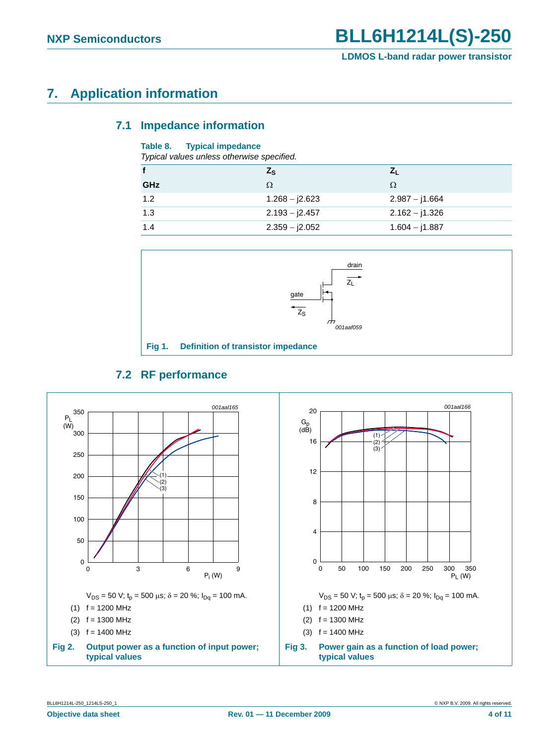### <span id="page-3-1"></span><span id="page-3-0"></span>**7. Application information**

#### **7.1 Impedance information**

#### **Table 8. Typical impedance**

| Typical values unless otherwise specified. |  |
|--------------------------------------------|--|
|--------------------------------------------|--|

|     | $Z_{\rm S}$      |                  |  |  |
|-----|------------------|------------------|--|--|
| GHz | Ω                | Ω                |  |  |
| 1.2 | $1.268 - j2.623$ | $2.987 - j1.664$ |  |  |
| 1.3 | $2.193 - j2.457$ | $2.162 - j1.326$ |  |  |
| 1.4 | $2.359 - j2.052$ | $1.604 - j1.887$ |  |  |



### **7.2 RF performance**

<span id="page-3-2"></span>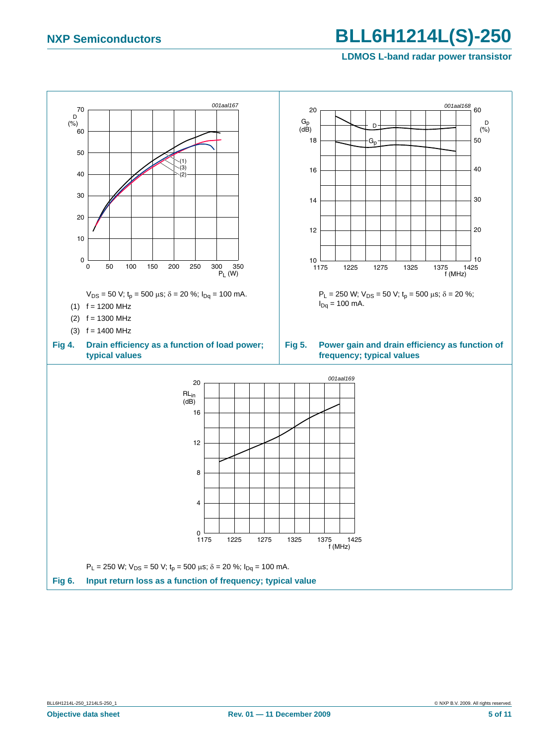## **NXP Semiconductors BLL6H1214L(S)-250**

#### **LDMOS L-band radar power transistor**

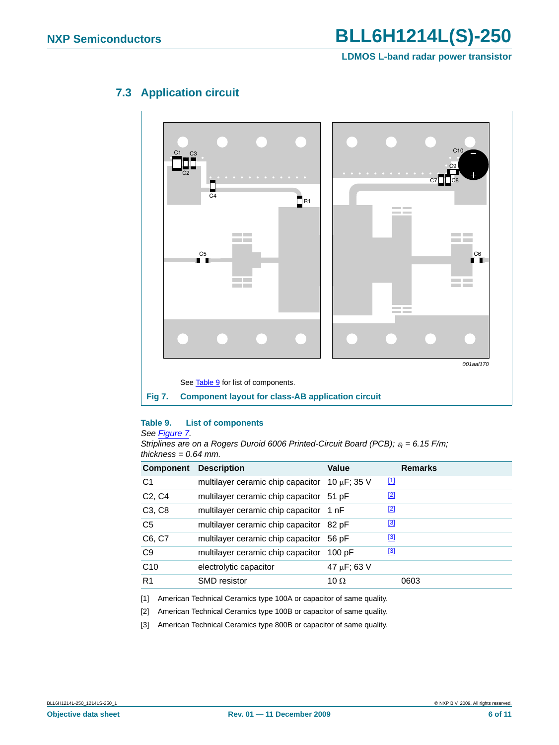

### <span id="page-5-5"></span>**7.3 Application circuit**

<span id="page-5-1"></span><span id="page-5-0"></span>**Table 9. List of components**

#### *See [Figure](#page-5-1) 7.*

*Striplines are on a Rogers Duroid 6006 Printed-Circuit Board (PCB);* ε*r = 6.15 F/m; thickness = 0.64 mm.*

| <b>Component</b>                | <b>Description</b>                            | Value       | <b>Remarks</b> |
|---------------------------------|-----------------------------------------------|-------------|----------------|
| C <sub>1</sub>                  | multilayer ceramic chip capacitor 10 µF; 35 V |             | $\boxed{11}$   |
| C <sub>2</sub> , C <sub>4</sub> | multilayer ceramic chip capacitor 51 pF       |             | $[2]$          |
| C <sub>3</sub> , C <sub>8</sub> | multilayer ceramic chip capacitor 1 nF        |             | $[2]$          |
| C <sub>5</sub>                  | multilayer ceramic chip capacitor 82 pF       |             | $^{[3]}$       |
| C6, C7                          | multilayer ceramic chip capacitor             | 56 pF       | [3]            |
| C <sub>9</sub>                  | multilayer ceramic chip capacitor             | 100 pF      | $^{[3]}$       |
| C10                             | electrolytic capacitor                        | 47 µF; 63 V |                |
| R <sub>1</sub>                  | <b>SMD</b> resistor                           | 10 $\Omega$ | 0603           |

<span id="page-5-2"></span>[1] American Technical Ceramics type 100A or capacitor of same quality.

<span id="page-5-3"></span>[2] American Technical Ceramics type 100B or capacitor of same quality.

<span id="page-5-4"></span>[3] American Technical Ceramics type 800B or capacitor of same quality.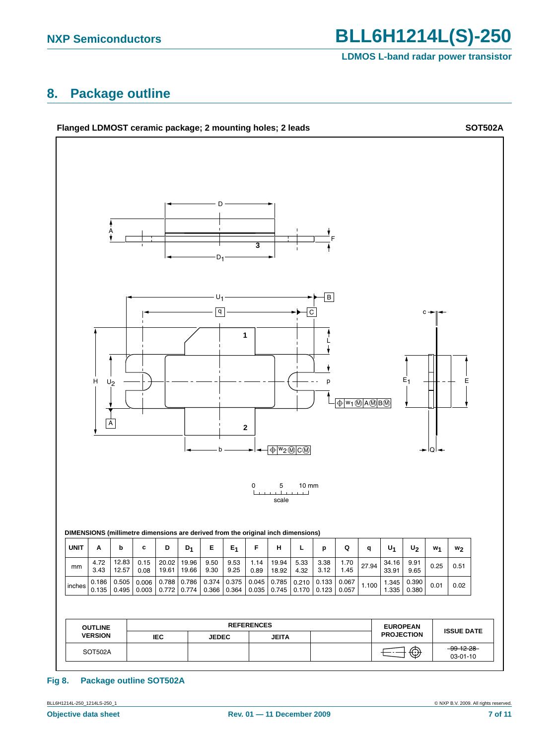**NXP Semiconductors BLL6H1214L(S)-250** 

#### **LDMOS L-band radar power transistor**

### <span id="page-6-0"></span>**8. Package outline**



#### **Fig 8. Package outline SOT502A**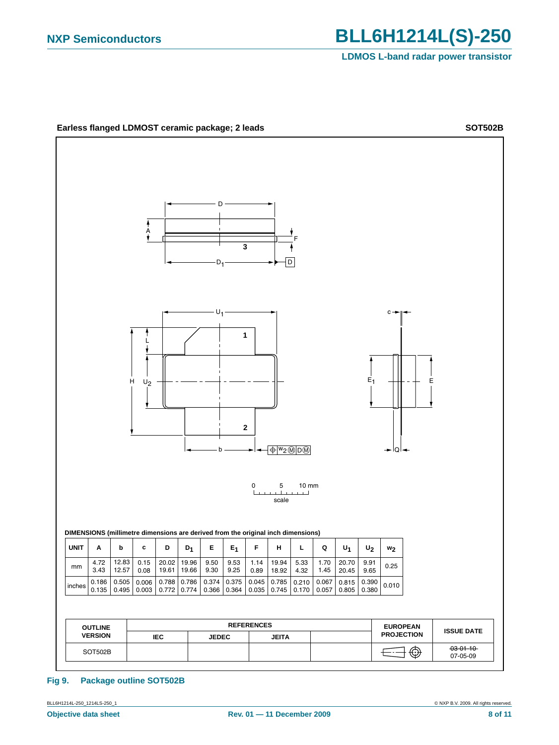

#### **Fig 9. Package outline SOT502B**

BLL6H1214L-250\_1214LS-250\_1 © NXP B.V. 2009. All rights reserved.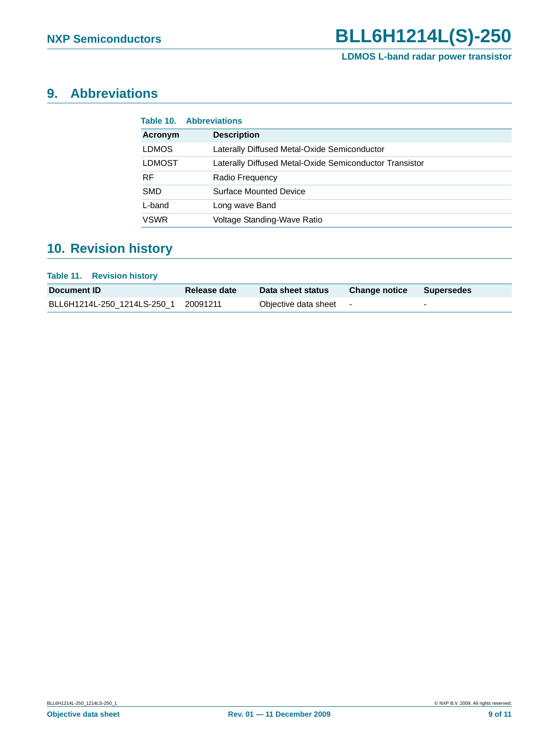### <span id="page-8-0"></span>**9. Abbreviations**

|               | <b>Table 10. Abbreviations</b>                          |
|---------------|---------------------------------------------------------|
| Acronym       | <b>Description</b>                                      |
| <b>LDMOS</b>  | Laterally Diffused Metal-Oxide Semiconductor            |
| <b>LDMOST</b> | Laterally Diffused Metal-Oxide Semiconductor Transistor |
| RF.           | Radio Frequency                                         |
| <b>SMD</b>    | <b>Surface Mounted Device</b>                           |
| L-band        | Long wave Band                                          |
| <b>VSWR</b>   | Voltage Standing-Wave Ratio                             |

### <span id="page-8-1"></span>**10. Revision history**

#### **Table 11. Revision history**

| Document ID                          | Release date | Data sheet status i  | <b>Change notice</b> | Supersedes |
|--------------------------------------|--------------|----------------------|----------------------|------------|
| BLL6H1214L-250 1214LS-250 1 20091211 |              | Objective data sheet |                      |            |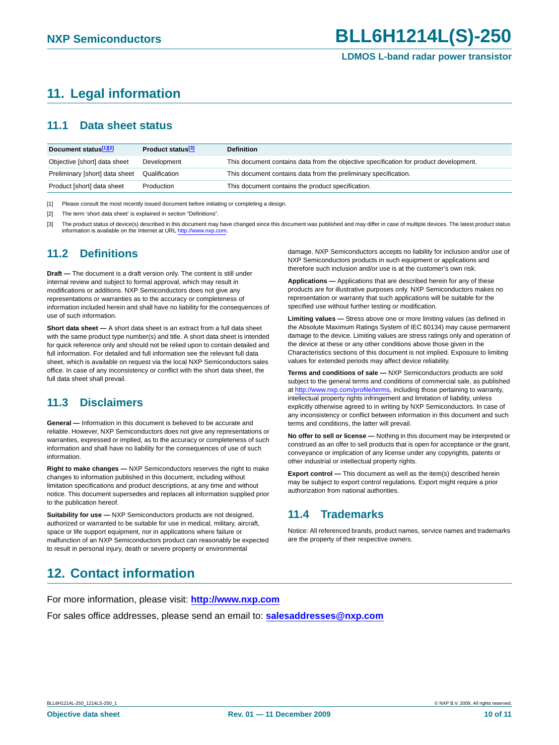### <span id="page-9-0"></span>**11. Legal information**

#### <span id="page-9-1"></span>**11.1 Data sheet status**

| Document status <sup>[1][2]</sup> | Product status <sup>[3]</sup> | <b>Definition</b>                                                                     |
|-----------------------------------|-------------------------------|---------------------------------------------------------------------------------------|
| Objective [short] data sheet      | Development                   | This document contains data from the objective specification for product development. |
| Preliminary [short] data sheet    | Qualification                 | This document contains data from the preliminary specification.                       |
| Product [short] data sheet        | Production                    | This document contains the product specification.                                     |

[1] Please consult the most recently issued document before initiating or completing a design.

[2] The term 'short data sheet' is explained in section "Definitions".

[3] The product status of device(s) described in this document may have changed since this document was published and may differ in case of multiple devices. The latest product status information is available on the Internet at URL http://www.nxp.com.

### <span id="page-9-2"></span>**11.2 Definitions**

**Draft —** The document is a draft version only. The content is still under internal review and subject to formal approval, which may result in modifications or additions. NXP Semiconductors does not give any representations or warranties as to the accuracy or completeness of information included herein and shall have no liability for the consequences of use of such information.

**Short data sheet —** A short data sheet is an extract from a full data sheet with the same product type number(s) and title. A short data sheet is intended for quick reference only and should not be relied upon to contain detailed and full information. For detailed and full information see the relevant full data sheet, which is available on request via the local NXP Semiconductors sales office. In case of any inconsistency or conflict with the short data sheet, the full data sheet shall prevail.

### <span id="page-9-3"></span>**11.3 Disclaimers**

**General —** Information in this document is believed to be accurate and reliable. However, NXP Semiconductors does not give any representations or warranties, expressed or implied, as to the accuracy or completeness of such information and shall have no liability for the consequences of use of such information.

**Right to make changes —** NXP Semiconductors reserves the right to make changes to information published in this document, including without limitation specifications and product descriptions, at any time and without notice. This document supersedes and replaces all information supplied prior to the publication hereof.

**Suitability for use —** NXP Semiconductors products are not designed, authorized or warranted to be suitable for use in medical, military, aircraft, space or life support equipment, nor in applications where failure or malfunction of an NXP Semiconductors product can reasonably be expected to result in personal injury, death or severe property or environmental

damage. NXP Semiconductors accepts no liability for inclusion and/or use of NXP Semiconductors products in such equipment or applications and therefore such inclusion and/or use is at the customer's own risk.

**Applications —** Applications that are described herein for any of these products are for illustrative purposes only. NXP Semiconductors makes no representation or warranty that such applications will be suitable for the specified use without further testing or modification.

**Limiting values —** Stress above one or more limiting values (as defined in the Absolute Maximum Ratings System of IEC 60134) may cause permanent damage to the device. Limiting values are stress ratings only and operation of the device at these or any other conditions above those given in the Characteristics sections of this document is not implied. Exposure to limiting values for extended periods may affect device reliability.

**Terms and conditions of sale —** NXP Semiconductors products are sold subject to the general terms and conditions of commercial sale, as published at http://www.nxp.com/profile/terms, including those pertaining to warranty, intellectual property rights infringement and limitation of liability, unless explicitly otherwise agreed to in writing by NXP Semiconductors. In case of any inconsistency or conflict between information in this document and such terms and conditions, the latter will prevail.

**No offer to sell or license —** Nothing in this document may be interpreted or construed as an offer to sell products that is open for acceptance or the grant, conveyance or implication of any license under any copyrights, patents or other industrial or intellectual property rights.

**Export control —** This document as well as the item(s) described herein may be subject to export control regulations. Export might require a prior authorization from national authorities.

### <span id="page-9-4"></span>**11.4 Trademarks**

Notice: All referenced brands, product names, service names and trademarks are the property of their respective owners.

### <span id="page-9-5"></span>**12. Contact information**

For more information, please visit: **http://www.nxp.com**

For sales office addresses, please send an email to: **salesaddresses@nxp.com**